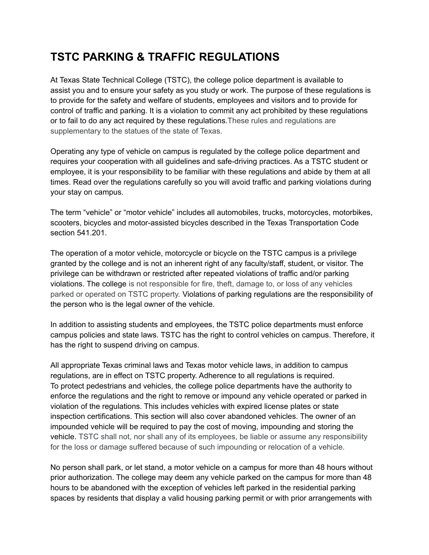# **TSTC PARKING & TRAFFIC REGULATIONS**

At Texas State Technical College (TSTC), the college police department is available to assist you and to ensure your safety as you study or work. The purpose of these regulations is to provide for the safety and welfare of students, employees and visitors and to provide for control of traffic and parking. It is a violation to commit any act prohibited by these regulations or to fail to do any act required by these regulations.These rules and regulations are supplementary to the statues of the state of Texas.

Operating any type of vehicle on campus is regulated by the college police department and requires your cooperation with all guidelines and safe-driving practices. As a TSTC student or employee, it is your responsibility to be familiar with these regulations and abide by them at all times. Read over the regulations carefully so you will avoid traffic and parking violations during your stay on campus.

The term "vehicle" or "motor vehicle" includes all automobiles, trucks, motorcycles, motorbikes, scooters, bicycles and motor-assisted bicycles described in the Texas Transportation Code section 541.201.

The operation of a motor vehicle, motorcycle or bicycle on the TSTC campus is a privilege granted by the college and is not an inherent right of any faculty/staff, student, or visitor. The privilege can be withdrawn or restricted after repeated violations of traffic and/or parking violations. The college is not responsible for fire, theft, damage to, or loss of any vehicles parked or operated on TSTC property. Violations of parking regulations are the responsibility of the person who is the legal owner of the vehicle.

In addition to assisting students and employees, the TSTC police departments must enforce campus policies and state laws. TSTC has the right to control vehicles on campus. Therefore, it has the right to suspend driving on campus.

All appropriate Texas criminal laws and Texas motor vehicle laws, in addition to campus regulations, are in effect on TSTC property. Adherence to all regulations is required. To protect pedestrians and vehicles, the college police departments have the authority to enforce the regulations and the right to remove or impound any vehicle operated or parked in violation of the regulations. This includes vehicles with expired license plates or state inspection certifications. This section will also cover abandoned vehicles. The owner of an impounded vehicle will be required to pay the cost of moving, impounding and storing the vehicle. TSTC shall not, nor shall any of its employees, be liable or assume any responsibility for the loss or damage suffered because of such impounding or relocation of a vehicle.

No person shall park, or let stand, a motor vehicle on a campus for more than 48 hours without prior authorization. The college may deem any vehicle parked on the campus for more than 48 hours to be abandoned with the exception of vehicles left parked in the residential parking spaces by residents that display a valid housing parking permit or with prior arrangements with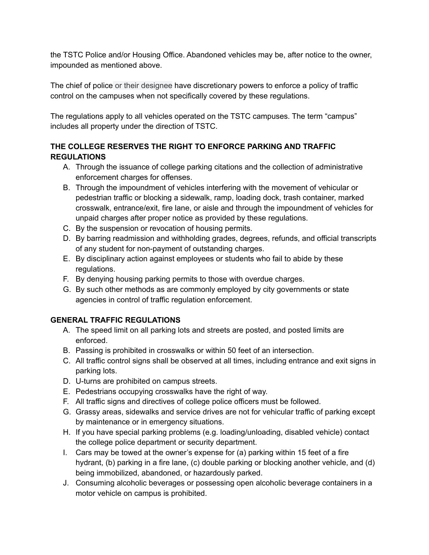the TSTC Police and/or Housing Office. Abandoned vehicles may be, after notice to the owner, impounded as mentioned above.

The chief of police or their designee have discretionary powers to enforce a policy of traffic control on the campuses when not specifically covered by these regulations.

The regulations apply to all vehicles operated on the TSTC campuses. The term "campus" includes all property under the direction of TSTC.

## **THE COLLEGE RESERVES THE RIGHT TO ENFORCE PARKING AND TRAFFIC REGULATIONS**

- A. Through the issuance of college parking citations and the collection of administrative enforcement charges for offenses.
- B. Through the impoundment of vehicles interfering with the movement of vehicular or pedestrian traffic or blocking a sidewalk, ramp, loading dock, trash container, marked crosswalk, entrance/exit, fire lane, or aisle and through the impoundment of vehicles for unpaid charges after proper notice as provided by these regulations.
- C. By the suspension or revocation of housing permits.
- D. By barring readmission and withholding grades, degrees, refunds, and official transcripts of any student for non-payment of outstanding charges.
- E. By disciplinary action against employees or students who fail to abide by these regulations.
- F. By denying housing parking permits to those with overdue charges.
- G. By such other methods as are commonly employed by city governments or state agencies in control of traffic regulation enforcement.

## **GENERAL TRAFFIC REGULATIONS**

- A. The speed limit on all parking lots and streets are posted, and posted limits are enforced.
- B. Passing is prohibited in crosswalks or within 50 feet of an intersection.
- C. All traffic control signs shall be observed at all times, including entrance and exit signs in parking lots.
- D. U-turns are prohibited on campus streets.
- E. Pedestrians occupying crosswalks have the right of way.
- F. All traffic signs and directives of college police officers must be followed.
- G. Grassy areas, sidewalks and service drives are not for vehicular traffic of parking except by maintenance or in emergency situations.
- H. If you have special parking problems (e.g. loading/unloading, disabled vehicle) contact the college police department or security department.
- I. Cars may be towed at the owner's expense for (a) parking within 15 feet of a fire hydrant, (b) parking in a fire lane, (c) double parking or blocking another vehicle, and (d) being immobilized, abandoned, or hazardously parked.
- J. Consuming alcoholic beverages or possessing open alcoholic beverage containers in a motor vehicle on campus is prohibited.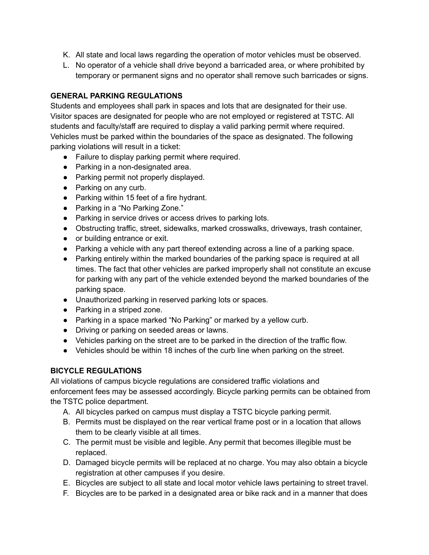- K. All state and local laws regarding the operation of motor vehicles must be observed.
- L. No operator of a vehicle shall drive beyond a barricaded area, or where prohibited by temporary or permanent signs and no operator shall remove such barricades or signs.

### **GENERAL PARKING REGULATIONS**

Students and employees shall park in spaces and lots that are designated for their use. Visitor spaces are designated for people who are not employed or registered at TSTC. All students and faculty/staff are required to display a valid parking permit where required. Vehicles must be parked within the boundaries of the space as designated. The following parking violations will result in a ticket:

- Failure to display parking permit where required.
- Parking in a non-designated area.
- Parking permit not properly displayed.
- Parking on any curb.
- Parking within 15 feet of a fire hydrant.
- Parking in a "No Parking Zone."
- Parking in service drives or access drives to parking lots.
- Obstructing traffic, street, sidewalks, marked crosswalks, driveways, trash container,
- or building entrance or exit.
- Parking a vehicle with any part thereof extending across a line of a parking space.
- Parking entirely within the marked boundaries of the parking space is required at all times. The fact that other vehicles are parked improperly shall not constitute an excuse for parking with any part of the vehicle extended beyond the marked boundaries of the parking space.
- Unauthorized parking in reserved parking lots or spaces.
- Parking in a striped zone.
- Parking in a space marked "No Parking" or marked by a yellow curb.
- Driving or parking on seeded areas or lawns.
- Vehicles parking on the street are to be parked in the direction of the traffic flow.
- Vehicles should be within 18 inches of the curb line when parking on the street.

## **BICYCLE REGULATIONS**

All violations of campus bicycle regulations are considered traffic violations and enforcement fees may be assessed accordingly. Bicycle parking permits can be obtained from the TSTC police department.

- A. All bicycles parked on campus must display a TSTC bicycle parking permit.
- B. Permits must be displayed on the rear vertical frame post or in a location that allows them to be clearly visible at all times.
- C. The permit must be visible and legible. Any permit that becomes illegible must be replaced.
- D. Damaged bicycle permits will be replaced at no charge. You may also obtain a bicycle registration at other campuses if you desire.
- E. Bicycles are subject to all state and local motor vehicle laws pertaining to street travel.
- F. Bicycles are to be parked in a designated area or bike rack and in a manner that does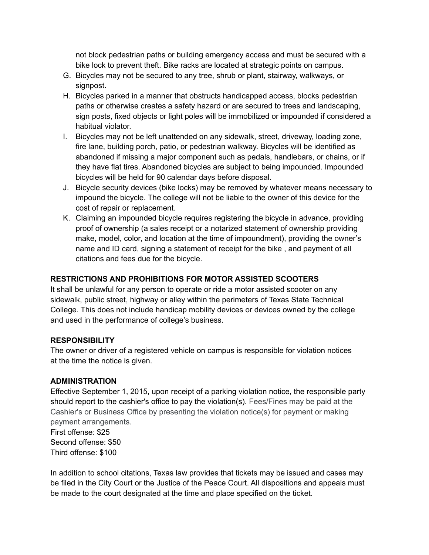not block pedestrian paths or building emergency access and must be secured with a bike lock to prevent theft. Bike racks are located at strategic points on campus.

- G. Bicycles may not be secured to any tree, shrub or plant, stairway, walkways, or signpost.
- H. Bicycles parked in a manner that obstructs handicapped access, blocks pedestrian paths or otherwise creates a safety hazard or are secured to trees and landscaping, sign posts, fixed objects or light poles will be immobilized or impounded if considered a habitual violator.
- I. Bicycles may not be left unattended on any sidewalk, street, driveway, loading zone, fire lane, building porch, patio, or pedestrian walkway. Bicycles will be identified as abandoned if missing a major component such as pedals, handlebars, or chains, or if they have flat tires. Abandoned bicycles are subject to being impounded. Impounded bicycles will be held for 90 calendar days before disposal.
- J. Bicycle security devices (bike locks) may be removed by whatever means necessary to impound the bicycle. The college will not be liable to the owner of this device for the cost of repair or replacement.
- K. Claiming an impounded bicycle requires registering the bicycle in advance, providing proof of ownership (a sales receipt or a notarized statement of ownership providing make, model, color, and location at the time of impoundment), providing the owner's name and ID card, signing a statement of receipt for the bike , and payment of all citations and fees due for the bicycle.

#### **RESTRICTIONS AND PROHIBITIONS FOR MOTOR ASSISTED SCOOTERS**

It shall be unlawful for any person to operate or ride a motor assisted scooter on any sidewalk, public street, highway or alley within the perimeters of Texas State Technical College. This does not include handicap mobility devices or devices owned by the college and used in the performance of college's business.

#### **RESPONSIBILITY**

The owner or driver of a registered vehicle on campus is responsible for violation notices at the time the notice is given.

#### **ADMINISTRATION**

Effective September 1, 2015, upon receipt of a parking violation notice, the responsible party should report to the cashier's office to pay the violation(s). Fees/Fines may be paid at the Cashier's or Business Office by presenting the violation notice(s) for payment or making payment arrangements.

First offense: \$25 Second offense: \$50 Third offense: \$100

In addition to school citations, Texas law provides that tickets may be issued and cases may be filed in the City Court or the Justice of the Peace Court. All dispositions and appeals must be made to the court designated at the time and place specified on the ticket.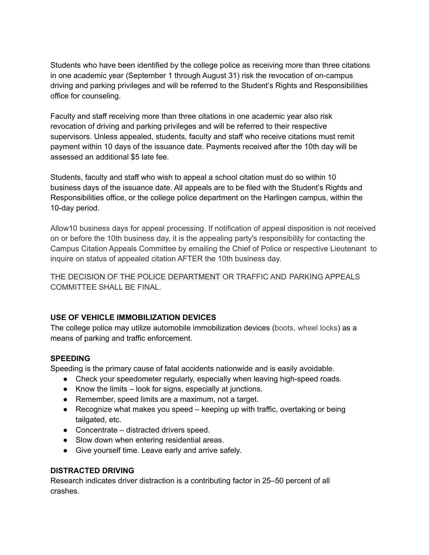Students who have been identified by the college police as receiving more than three citations in one academic year (September 1 through August 31) risk the revocation of on-campus driving and parking privileges and will be referred to the Student's Rights and Responsibilities office for counseling.

Faculty and staff receiving more than three citations in one academic year also risk revocation of driving and parking privileges and will be referred to their respective supervisors. Unless appealed, students, faculty and staff who receive citations must remit payment within 10 days of the issuance date. Payments received after the 10th day will be assessed an additional \$5 late fee.

Students, faculty and staff who wish to appeal a school citation must do so within 10 business days of the issuance date. All appeals are to be filed with the Student's Rights and Responsibilities office, or the college police department on the Harlingen campus, within the 10-day period.

Allow10 business days for appeal processing. If notification of appeal disposition is not received on or before the 10th business day, it is the appealing party's responsibility for contacting the Campus Citation Appeals Committee by emailing the Chief of Police or respective Lieutenant to inquire on status of appealed citation AFTER the 10th business day.

THE DECISION OF THE POLICE DEPARTMENT OR TRAFFIC AND PARKING APPEALS COMMITTEE SHALL BE FINAL

#### **USE OF VEHICLE IMMOBILIZATION DEVICES**

The college police may utilize automobile immobilization devices (boots, wheel locks) as a means of parking and traffic enforcement.

#### **SPEEDING**

Speeding is the primary cause of fatal accidents nationwide and is easily avoidable.

- Check your speedometer regularly, especially when leaving high-speed roads.
- Know the limits look for signs, especially at junctions.
- Remember, speed limits are a maximum, not a target.
- $\bullet$  Recognize what makes you speed keeping up with traffic, overtaking or being tailgated, etc.
- Concentrate distracted drivers speed.
- Slow down when entering residential areas.
- Give yourself time. Leave early and arrive safely.

#### **DISTRACTED DRIVING**

Research indicates driver distraction is a contributing factor in 25–50 percent of all crashes.